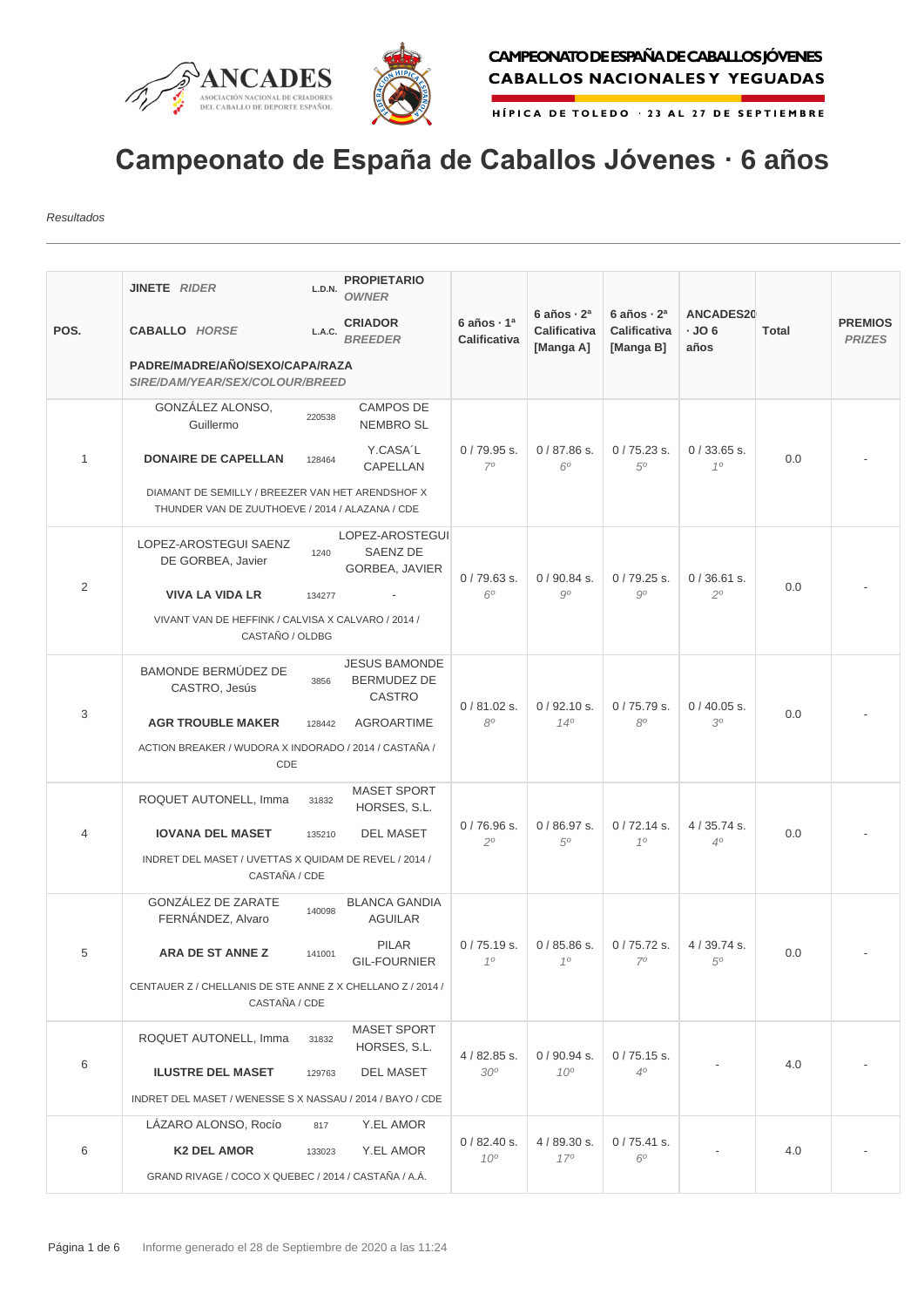



HÍPICA DE TOLEDO - 23 AL 27 DE SEPTIEMBRE

## **Campeonato de España de Caballos Jóvenes · 6 años**

Resultados

|                | JINETE RIDER                                                                                        | L.D.N.           | <b>PROPIETARIO</b>                                   |                                               |                                               |                                               |                            |       |                                 |
|----------------|-----------------------------------------------------------------------------------------------------|------------------|------------------------------------------------------|-----------------------------------------------|-----------------------------------------------|-----------------------------------------------|----------------------------|-------|---------------------------------|
| POS.           | <b>CABALLO HORSE</b>                                                                                | L.A.C.           | <b>OWNER</b><br><b>CRIADOR</b><br><b>BREEDER</b>     | 6 años $\cdot$ 1 <sup>a</sup><br>Calificativa | 6 años $\cdot$ 2 <sup>a</sup><br>Calificativa | 6 años $\cdot$ 2 <sup>a</sup><br>Calificativa | <b>ANCADES20</b><br>$-JO6$ | Total | <b>PREMIOS</b><br><b>PRIZES</b> |
|                | PADRE/MADRE/AÑO/SEXO/CAPA/RAZA<br>SIRE/DAM/YEAR/SEX/COLOUR/BREED                                    |                  | [Manga A]                                            | [Manga B]                                     | años                                          |                                               |                            |       |                                 |
|                | GONZÁLEZ ALONSO,<br>Guillermo                                                                       | 220538           | <b>CAMPOS DE</b><br><b>NEMBRO SL</b>                 |                                               |                                               |                                               |                            |       |                                 |
| $\mathbf{1}$   | <b>DONAIRE DE CAPELLAN</b>                                                                          | 128464           | Y.CASA'L<br>CAPELLAN                                 | $0/79.95$ s.<br>70                            | $0/87.86$ s.<br>$6^{\circ}$                   | $0/75.23$ s.<br>50                            | $0/33.65$ s.<br>10         | 0.0   |                                 |
|                | DIAMANT DE SEMILLY / BREEZER VAN HET ARENDSHOF X<br>THUNDER VAN DE ZUUTHOEVE / 2014 / ALAZANA / CDE |                  |                                                      |                                               |                                               |                                               |                            |       |                                 |
|                | LOPEZ-AROSTEGUI SAENZ<br>DE GORBEA, Javier                                                          | 1240             | LOPEZ-AROSTEGUI<br>SAENZ DE<br>GORBEA, JAVIER        | $0/79.63$ s.                                  | $0/90.84$ s.<br>90                            | $0/79.25$ s.<br>$9^{\circ}$                   | $0/36.61$ s.<br>20         | 0.0   |                                 |
| $\overline{2}$ | <b>VIVA LA VIDA LR</b>                                                                              | 134277           |                                                      | $6^\circ$                                     |                                               |                                               |                            |       |                                 |
|                | VIVANT VAN DE HEFFINK / CALVISA X CALVARO / 2014 /<br>CASTAÑO / OLDBG                               |                  |                                                      |                                               |                                               |                                               |                            |       |                                 |
| 3              | <b>BAMONDE BERMÚDEZ DE</b><br>CASTRO, Jesús                                                         | 3856             | <b>JESUS BAMONDE</b><br><b>BERMUDEZ DE</b><br>CASTRO | $0/81.02$ s.<br>80                            | 0/92.10 s.                                    | 0/75.79 s.                                    | $0/40.05$ s.               | 0.0   |                                 |
|                | <b>AGR TROUBLE MAKER</b>                                                                            | 128442           | <b>AGROARTIME</b>                                    |                                               | $14^{o}$                                      | 8 <sup>o</sup>                                | 30                         |       |                                 |
|                | ACTION BREAKER / WUDORA X INDORADO / 2014 / CASTAÑA /<br>CDE                                        |                  |                                                      |                                               |                                               |                                               |                            |       |                                 |
|                | ROQUET AUTONELL, Imma                                                                               | 31832            | <b>MASET SPORT</b><br>HORSES, S.L.                   |                                               | $0/86.97$ s.<br>.50                           | $0/72.14$ s.<br>10                            | $4/35.74$ s.<br>40         | 0.0   |                                 |
| $\overline{4}$ | <b>IOVANA DEL MASET</b>                                                                             | 135210           | <b>DEL MASET</b>                                     | $0/76.96$ s.<br>$2^{\circ}$                   |                                               |                                               |                            |       |                                 |
|                | INDRET DEL MASET / UVETTAS X QUIDAM DE REVEL / 2014 /<br>CASTAÑA / CDE                              |                  |                                                      |                                               |                                               |                                               |                            |       |                                 |
|                | <b>GONZÁLEZ DE ZARATE</b><br>FERNÁNDEZ, Alvaro                                                      | 140098           | <b>BLANCA GANDIA</b><br><b>AGUILAR</b>               |                                               |                                               | $0/75.72$ s.<br>$7^\circ$                     | 4 / 39.74 s.<br>50         | 0.0   |                                 |
| b              | ARA DE ST ANNE Z                                                                                    | 141001           | <b>PILAR</b><br><b>GIL-FOURNIER</b>                  | $0/75.19$ s.<br>10                            | $0/85.86$ s.<br>10                            |                                               |                            |       |                                 |
|                | CENTAUER Z / CHELLANIS DE STE ANNE Z X CHELLANO Z / 2014 /<br>CASTAÑA / CDE                         |                  |                                                      |                                               |                                               |                                               |                            |       |                                 |
| 6              | ROQUET AUTONELL, Imma                                                                               | 31832            | <b>MASET SPORT</b><br>HORSES, S.L.                   | 4 / 82.85 s.                                  | $0/90.94$ s.                                  | $0/75.15$ s.                                  |                            | 4.0   |                                 |
|                | <b>ILUSTRE DEL MASET</b>                                                                            | <b>DEL MASET</b> | 30 <sup>o</sup>                                      | 10 <sup>o</sup>                               | 4 <sup>0</sup>                                |                                               |                            |       |                                 |
|                | INDRET DEL MASET / WENESSE S X NASSAU / 2014 / BAYO / CDE                                           |                  |                                                      |                                               |                                               |                                               |                            |       |                                 |
|                | LÁZARO ALONSO, Rocío                                                                                | 817              | Y.EL AMOR                                            |                                               |                                               |                                               |                            |       |                                 |
| 6              | <b>K2 DEL AMOR</b>                                                                                  | 133023           | Y.EL AMOR                                            | $0/82.40$ s.<br>10 <sup>o</sup>               | 4/89.30 s.<br>170                             | $0/75.41$ s.<br>6 <sup>o</sup>                |                            | 4.0   |                                 |
|                | GRAND RIVAGE / COCO X QUEBEC / 2014 / CASTAÑA / A.Á.                                                |                  |                                                      |                                               |                                               |                                               |                            |       |                                 |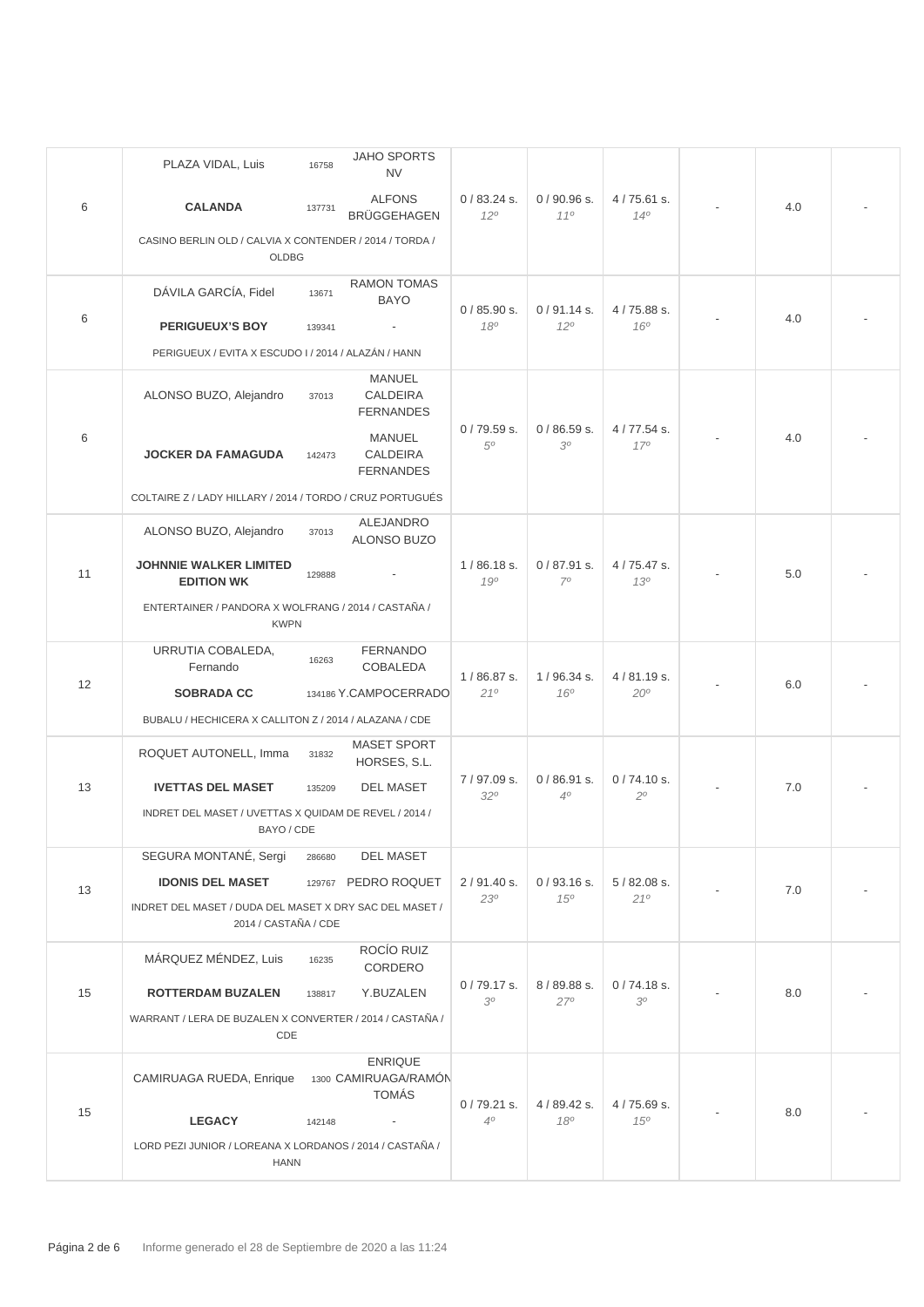|    | PLAZA VIDAL, Luis                                                               | 16758  | <b>JAHO SPORTS</b><br><b>NV</b>                        |                              |                               |                            |  |     |  |
|----|---------------------------------------------------------------------------------|--------|--------------------------------------------------------|------------------------------|-------------------------------|----------------------------|--|-----|--|
| 6  | <b>CALANDA</b>                                                                  | 137731 | <b>ALFONS</b><br><b>BRÜGGEHAGEN</b>                    | $0/83.24$ s.<br>$12^{\circ}$ | $0/90.96$ s.<br>110           | $4/75.61$ s.<br>140        |  | 4.0 |  |
|    | CASINO BERLIN OLD / CALVIA X CONTENDER / 2014 / TORDA /<br>OLDBG                |        |                                                        |                              |                               |                            |  |     |  |
|    | DÁVILA GARCÍA, Fidel                                                            | 13671  | <b>RAMON TOMAS</b><br><b>BAYO</b>                      | 0/85.90 s.                   | $0/91.14$ s.                  | 4/75.88 s.                 |  |     |  |
| 6  | <b>PERIGUEUX'S BOY</b>                                                          | 139341 |                                                        | 180                          | 120                           | $160^{\circ}$              |  | 4.0 |  |
|    | PERIGUEUX / EVITA X ESCUDO I / 2014 / ALAZÁN / HANN                             |        |                                                        |                              |                               |                            |  |     |  |
|    | ALONSO BUZO, Alejandro                                                          | 37013  | MANUEL<br>CALDEIRA<br><b>FERNANDES</b>                 |                              |                               | 4/77.54 s.<br>170          |  | 4.0 |  |
| 6  | <b>JOCKER DA FAMAGUDA</b>                                                       | 142473 | <b>MANUEL</b><br>CALDEIRA<br><b>FERNANDES</b>          | $0/79.59$ s.<br>50           | $0/86.59$ s.<br>30            |                            |  |     |  |
|    | COLTAIRE Z / LADY HILLARY / 2014 / TORDO / CRUZ PORTUGUÉS                       |        |                                                        |                              |                               |                            |  |     |  |
|    | ALONSO BUZO, Alejandro                                                          | 37013  | ALEJANDRO<br>ALONSO BUZO                               |                              |                               |                            |  |     |  |
| 11 | <b>JOHNNIE WALKER LIMITED</b><br><b>EDITION WK</b>                              | 129888 |                                                        | $1/86.18$ s.<br>190          | $0/87.91$ s.<br>70            | 4/75.47 s.<br>130          |  | 5.0 |  |
|    | ENTERTAINER / PANDORA X WOLFRANG / 2014 / CASTAÑA /<br><b>KWPN</b>              |        |                                                        |                              |                               |                            |  |     |  |
|    | URRUTIA COBALEDA,                                                               | 16263  | <b>FERNANDO</b>                                        |                              |                               |                            |  |     |  |
| 12 | Fernando<br><b>SOBRADA CC</b>                                                   |        | <b>COBALEDA</b><br>134186 Y.CAMPOCERRADO               | $1/86.87$ s.<br>21°          | 1/96.34 s.<br>16 <sup>o</sup> | 4/81.19 s.<br>$20^{\circ}$ |  | 6.0 |  |
|    | BUBALU / HECHICERA X CALLITON Z / 2014 / ALAZANA / CDE                          |        |                                                        |                              |                               |                            |  |     |  |
|    | ROQUET AUTONELL, Imma                                                           |        | <b>MASET SPORT</b>                                     |                              |                               |                            |  |     |  |
|    |                                                                                 | 31832  | HORSES, S.L.                                           | 7/97.09 s.                   | $0/86.91$ s.                  | 0/74.10 s.                 |  | 7.0 |  |
| 13 | <b>IVETTAS DEL MASET</b>                                                        | 135209 | <b>DEL MASET</b>                                       | $32^{\circ}$                 | 4 <sup>0</sup>                | $2^{\circ}$                |  |     |  |
|    | INDRET DEL MASET / UVETTAS X QUIDAM DE REVEL / 2014 /<br>BAYO / CDE             |        |                                                        |                              |                               |                            |  |     |  |
|    | SEGURA MONTANÉ, Sergi                                                           | 286680 | <b>DEL MASET</b>                                       |                              |                               |                            |  |     |  |
| 13 | <b>IDONIS DEL MASET</b>                                                         |        | 129767 PEDRO ROQUET                                    | $2/91.40$ s.<br>230          | $0/93.16$ s.<br>$15^{o}$      | $5/82.08$ s.<br>210        |  | 7.0 |  |
|    | INDRET DEL MASET / DUDA DEL MASET X DRY SAC DEL MASET /<br>2014 / CASTAÑA / CDE |        |                                                        |                              |                               |                            |  |     |  |
|    | MÁRQUEZ MÉNDEZ, Luis                                                            | 16235  | ROCÍO RUIZ<br>CORDERO                                  |                              |                               |                            |  |     |  |
| 15 | <b>ROTTERDAM BUZALEN</b>                                                        | 138817 | Y.BUZALEN                                              | $0/79.17$ s.<br>30           | 8/89.88 s.<br>27°             | $0/74.18$ s.<br>30         |  | 8.0 |  |
|    | WARRANT / LERA DE BUZALEN X CONVERTER / 2014 / CASTAÑA /<br>CDE                 |        |                                                        |                              |                               |                            |  |     |  |
|    | CAMIRUAGA RUEDA, Enrique                                                        |        | <b>ENRIQUE</b><br>1300 CAMIRUAGA/RAMÓN<br><b>TOMÁS</b> |                              |                               |                            |  |     |  |
| 15 | <b>LEGACY</b>                                                                   | 142148 |                                                        | $0/79.21$ s.<br>$4^{\circ}$  | 4 / 89.42 s.<br>180           | 4/75.69 s.<br>$15^{o}$     |  | 8.0 |  |
|    | LORD PEZI JUNIOR / LOREANA X LORDANOS / 2014 / CASTAÑA /                        |        |                                                        |                              |                               |                            |  |     |  |
|    | <b>HANN</b>                                                                     |        |                                                        |                              |                               |                            |  |     |  |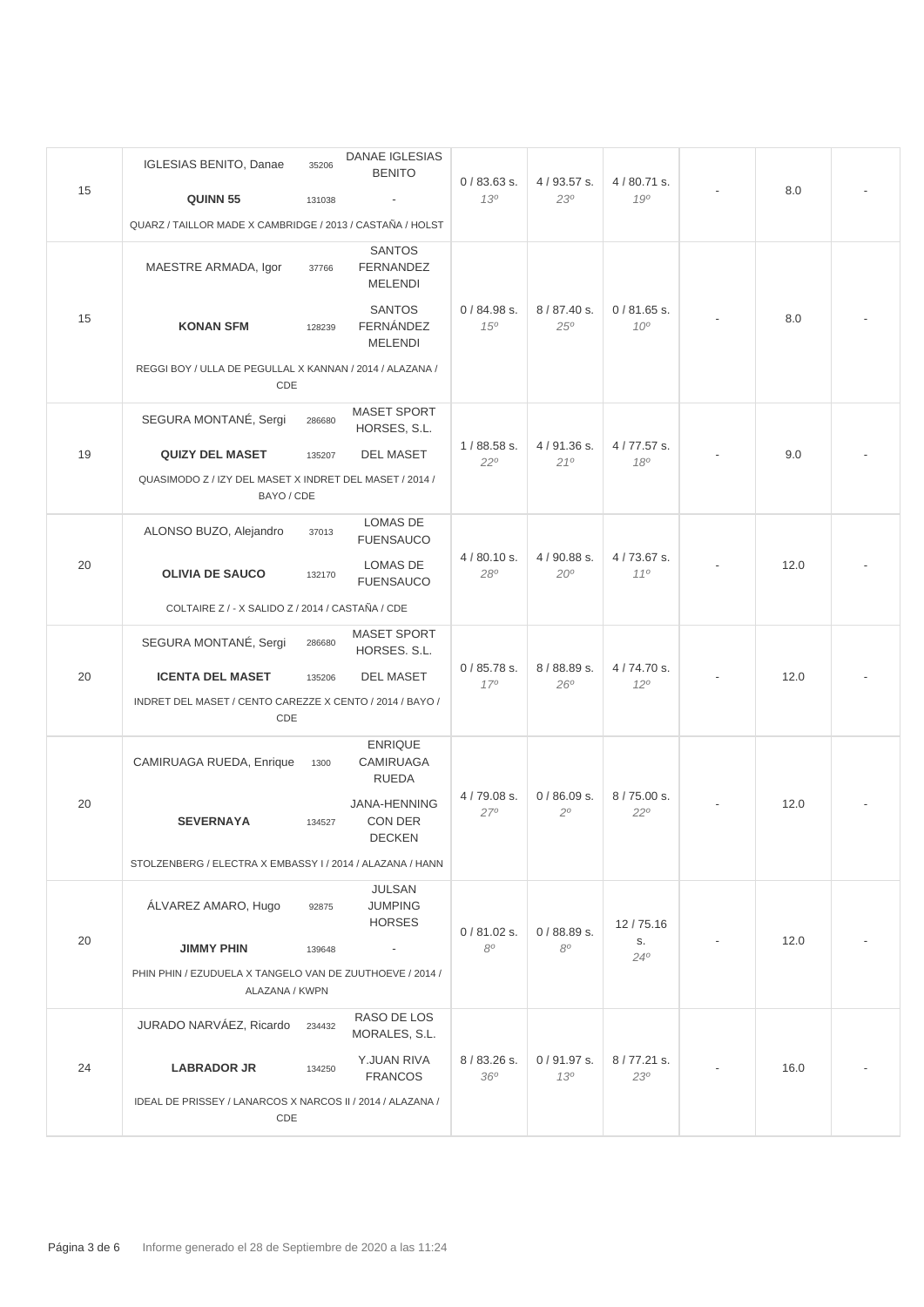|    | <b>IGLESIAS BENITO, Danae</b>                                              | 35206  | DANAE IGLESIAS<br><b>BENITO</b>                     |                               |                              |                                 |  |      |  |
|----|----------------------------------------------------------------------------|--------|-----------------------------------------------------|-------------------------------|------------------------------|---------------------------------|--|------|--|
| 15 | QUINN 55                                                                   | 131038 |                                                     | $0/83.63$ s.<br>130           | $4/93.57$ s.<br>230          | 4/80.71 s.<br>190               |  | 8.0  |  |
|    | QUARZ / TAILLOR MADE X CAMBRIDGE / 2013 / CASTAÑA / HOLST                  |        |                                                     |                               |                              |                                 |  |      |  |
|    | MAESTRE ARMADA, Igor                                                       | 37766  | <b>SANTOS</b><br><b>FERNANDEZ</b><br><b>MELENDI</b> |                               |                              | $0/81.65$ s.<br>10 <sup>o</sup> |  | 8.0  |  |
| 15 | <b>KONAN SFM</b>                                                           | 128239 | <b>SANTOS</b><br><b>FERNÁNDEZ</b><br><b>MELENDI</b> | 0/84.98 s.<br>15 <sup>o</sup> | 8/87.40 s.<br>25°            |                                 |  |      |  |
|    | REGGI BOY / ULLA DE PEGULLAL X KANNAN / 2014 / ALAZANA /<br>CDE            |        |                                                     |                               |                              |                                 |  |      |  |
|    | SEGURA MONTANÉ, Sergi                                                      | 286680 | <b>MASET SPORT</b><br>HORSES, S.L.                  |                               |                              |                                 |  |      |  |
| 19 | <b>QUIZY DEL MASET</b>                                                     | 135207 | <b>DEL MASET</b>                                    | $1/88.58$ s.<br>$22^{\circ}$  | 4/91.36 s.<br>210            | 4/77.57 s.<br>180               |  | 9.0  |  |
|    | QUASIMODO Z / IZY DEL MASET X INDRET DEL MASET / 2014 /<br>BAYO / CDE      |        |                                                     |                               |                              |                                 |  |      |  |
|    | ALONSO BUZO, Alejandro                                                     | 37013  | <b>LOMAS DE</b><br><b>FUENSAUCO</b>                 | $4/80.10$ s.<br>$28^{\circ}$  | 4 / 90.88 s.<br>$20^{\circ}$ | 4/73.67 s.<br>110               |  | 12.0 |  |
| 20 | <b>OLIVIA DE SAUCO</b>                                                     | 132170 | LOMAS DE<br><b>FUENSAUCO</b>                        |                               |                              |                                 |  |      |  |
|    | COLTAIRE Z / - X SALIDO Z / 2014 / CASTAÑA / CDE                           |        |                                                     |                               |                              |                                 |  |      |  |
|    | SEGURA MONTANÉ, Sergi                                                      | 286680 | <b>MASET SPORT</b><br>HORSES. S.L.                  |                               | 8/88.89 s.<br>$26^\circ$     | 4/74.70 s.<br>$12^{\circ}$      |  | 12.0 |  |
| 20 | <b>ICENTA DEL MASET</b>                                                    | 135206 | <b>DEL MASET</b>                                    | $0/85.78$ s.<br>170           |                              |                                 |  |      |  |
|    | INDRET DEL MASET / CENTO CAREZZE X CENTO / 2014 / BAYO /<br>CDE            |        |                                                     |                               |                              |                                 |  |      |  |
|    | CAMIRUAGA RUEDA, Enrique                                                   | 1300   | <b>ENRIQUE</b><br><b>CAMIRUAGA</b><br><b>RUEDA</b>  |                               |                              | 8/75.00 s.<br>$22^{\circ}$      |  | 12.0 |  |
| 20 | <b>SEVERNAYA</b>                                                           | 134527 | <b>JANA-HENNING</b><br>CON DER<br><b>DECKEN</b>     | 4/79.08 s.<br>$27^\circ$      | 0/86.09 s.<br>$2^{\circ}$    |                                 |  |      |  |
|    | STOLZENBERG / ELECTRA X EMBASSY I / 2014 / ALAZANA / HANN                  |        |                                                     |                               |                              |                                 |  |      |  |
|    | ÁLVAREZ AMARO, Hugo                                                        | 92875  | JULSAN<br><b>JUMPING</b><br><b>HORSES</b>           |                               |                              | 12/75.16                        |  |      |  |
| 20 | <b>JIMMY PHIN</b>                                                          | 139648 | $\overline{\phantom{a}}$                            | $0/81.02$ s.<br>80            | $0/88.89$ s.<br>$8^{\circ}$  | S.<br>$24^{\circ}$              |  | 12.0 |  |
|    | PHIN PHIN / EZUDUELA X TANGELO VAN DE ZUUTHOEVE / 2014 /<br>ALAZANA / KWPN |        |                                                     |                               |                              |                                 |  |      |  |
|    | JURADO NARVÁEZ, Ricardo                                                    | 234432 | RASO DE LOS<br>MORALES, S.L.                        |                               |                              |                                 |  |      |  |
| 24 | <b>LABRADOR JR</b>                                                         | 134250 | Y.JUAN RIVA<br><b>FRANCOS</b>                       | 8/83.26 s.<br>36 <sup>o</sup> | $0/91.97$ s.<br>130          | 8/77.21 s.<br>23°               |  | 16.0 |  |
|    | IDEAL DE PRISSEY / LANARCOS X NARCOS II / 2014 / ALAZANA /<br>CDE          |        |                                                     |                               |                              |                                 |  |      |  |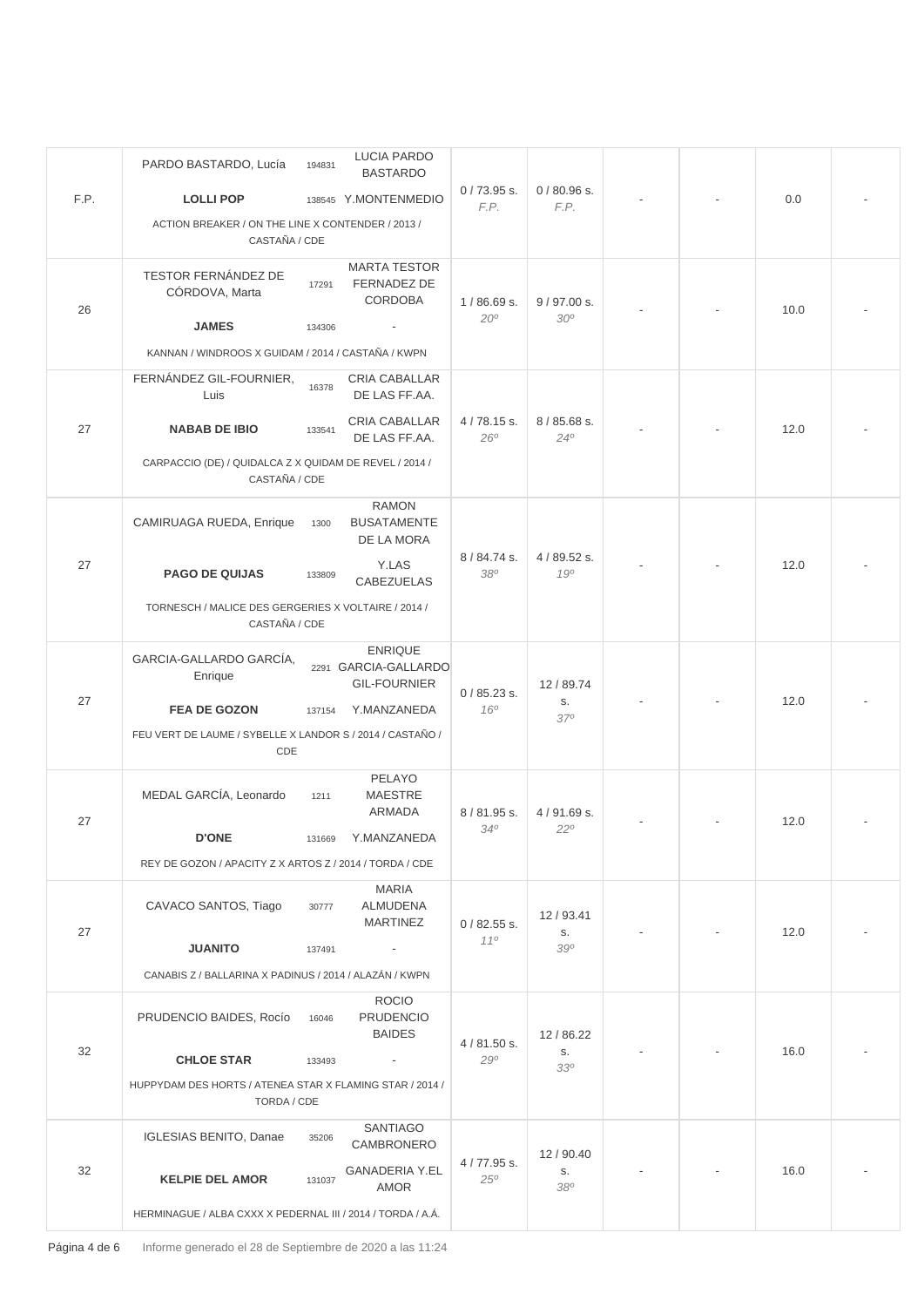|      | PARDO BASTARDO, Lucía                                                   | 194831 | <b>LUCIA PARDO</b><br><b>BASTARDO</b>  |                              |                               |  |  |      |  |
|------|-------------------------------------------------------------------------|--------|----------------------------------------|------------------------------|-------------------------------|--|--|------|--|
| F.P. | <b>LOLLI POP</b>                                                        |        | 138545 Y.MONTENMEDIO                   | $0/73.95$ s.<br>F.P.         | $0/80.96$ s.<br>F.P.          |  |  | 0.0  |  |
|      | ACTION BREAKER / ON THE LINE X CONTENDER / 2013 /<br>CASTAÑA / CDE      |        |                                        |                              |                               |  |  |      |  |
|      |                                                                         |        | <b>MARTA TESTOR</b>                    |                              |                               |  |  |      |  |
|      | TESTOR FERNÁNDEZ DE<br>CÓRDOVA, Marta                                   | 17291  | FERNADEZ DE                            | $1/86.69$ s.<br>$20^{\circ}$ |                               |  |  |      |  |
| 26   |                                                                         |        | <b>CORDOBA</b>                         |                              | 9/97.00 s.<br>30 <sup>o</sup> |  |  | 10.0 |  |
|      | <b>JAMES</b>                                                            | 134306 |                                        |                              |                               |  |  |      |  |
|      | KANNAN / WINDROOS X GUIDAM / 2014 / CASTAÑA / KWPN                      |        |                                        |                              |                               |  |  |      |  |
|      | FERNÁNDEZ GIL-FOURNIER,<br>Luis                                         | 16378  | CRIA CABALLAR<br>DE LAS FF.AA.         |                              |                               |  |  |      |  |
| 27   | <b>NABAB DE IBIO</b>                                                    | 133541 | CRIA CABALLAR<br>DE LAS FF.AA.         | 4/78.15 s.<br>26°            | 8 / 85.68 s.<br>$24^{\circ}$  |  |  | 12.0 |  |
|      | CARPACCIO (DE) / QUIDALCA Z X QUIDAM DE REVEL / 2014 /<br>CASTAÑA / CDE |        |                                        |                              |                               |  |  |      |  |
|      |                                                                         |        | <b>RAMON</b>                           |                              |                               |  |  |      |  |
|      | CAMIRUAGA RUEDA, Enrique                                                | 1300   | <b>BUSATAMENTE</b><br>DE LA MORA       | 8 / 84.74 s.<br>380          | 4 / 89.52 s.<br>190           |  |  | 12.0 |  |
| 27   | <b>PAGO DE QUIJAS</b>                                                   |        | Y.LAS                                  |                              |                               |  |  |      |  |
|      |                                                                         | 133809 | CABEZUELAS                             |                              |                               |  |  |      |  |
|      | TORNESCH / MALICE DES GERGERIES X VOLTAIRE / 2014 /<br>CASTAÑA / CDE    |        |                                        |                              |                               |  |  |      |  |
|      | GARCIA-GALLARDO GARCÍA,                                                 |        | <b>ENRIQUE</b><br>2291 GARCIA-GALLARDO |                              |                               |  |  | 12.0 |  |
|      | Enrique                                                                 |        | <b>GIL-FOURNIER</b>                    | $0/85.23$ s.                 | 12/89.74                      |  |  |      |  |
| 27   | <b>FEA DE GOZON</b>                                                     | 137154 | Y.MANZANEDA                            | 16 <sup>o</sup>              | S.<br>370                     |  |  |      |  |
|      | FEU VERT DE LAUME / SYBELLE X LANDOR S / 2014 / CASTAÑO /               |        |                                        |                              |                               |  |  |      |  |
|      | CDE                                                                     |        |                                        |                              |                               |  |  |      |  |
|      | MEDAL GARCÍA, Leonardo                                                  | 1211   | PELAYO<br><b>MAESTRE</b>               | 8/81.95 s.                   | 4/91.69 s.<br>$22^{\circ}$    |  |  | 12.0 |  |
| 27   |                                                                         |        | ARMADA                                 |                              |                               |  |  |      |  |
|      | <b>D'ONE</b>                                                            |        | 131669 Y.MANZANEDA                     | 340                          |                               |  |  |      |  |
|      | REY DE GOZON / APACITY Z X ARTOS Z / 2014 / TORDA / CDE                 |        |                                        |                              |                               |  |  |      |  |
|      | CAVACO SANTOS, Tiago                                                    | 30777  | MARIA<br><b>ALMUDENA</b>               |                              |                               |  |  |      |  |
| 27   |                                                                         |        | <b>MARTINEZ</b>                        | $0/82.55$ s.                 | 12/93.41<br>S.                |  |  | 12.0 |  |
|      | <b>JUANITO</b>                                                          | 137491 | $\sim$ $-$                             | 110                          | 390                           |  |  |      |  |
|      | CANABIS Z / BALLARINA X PADINUS / 2014 / ALAZÁN / KWPN                  |        |                                        |                              |                               |  |  |      |  |
|      |                                                                         |        | <b>ROCIO</b>                           |                              |                               |  |  |      |  |
| 32   | PRUDENCIO BAIDES, Rocío                                                 | 16046  | <b>PRUDENCIO</b><br><b>BAIDES</b>      |                              | 12/86.22                      |  |  |      |  |
|      | <b>CHLOE STAR</b>                                                       | 133493 | $\sim$                                 | $4/81.50$ s.<br>$29^\circ$   | S.                            |  |  | 16.0 |  |
|      | HUPPYDAM DES HORTS / ATENEA STAR X FLAMING STAR / 2014 /                |        |                                        | 330                          |                               |  |  |      |  |
|      | TORDA / CDE                                                             |        |                                        |                              |                               |  |  |      |  |
|      | <b>IGLESIAS BENITO, Danae</b>                                           | 35206  | SANTIAGO<br>CAMBRONERO                 |                              |                               |  |  |      |  |
| 32   |                                                                         |        | <b>GANADERIA Y.EL</b>                  | 4/77.95 s.                   | 12/90.40<br>S.                |  |  | 16.0 |  |
|      | <b>KELPIE DEL AMOR</b>                                                  | 131037 | <b>AMOR</b>                            | $25^{\circ}$                 | 380                           |  |  |      |  |
|      | HERMINAGUE / ALBA CXXX X PEDERNAL III / 2014 / TORDA / A.Á.             |        |                                        |                              |                               |  |  |      |  |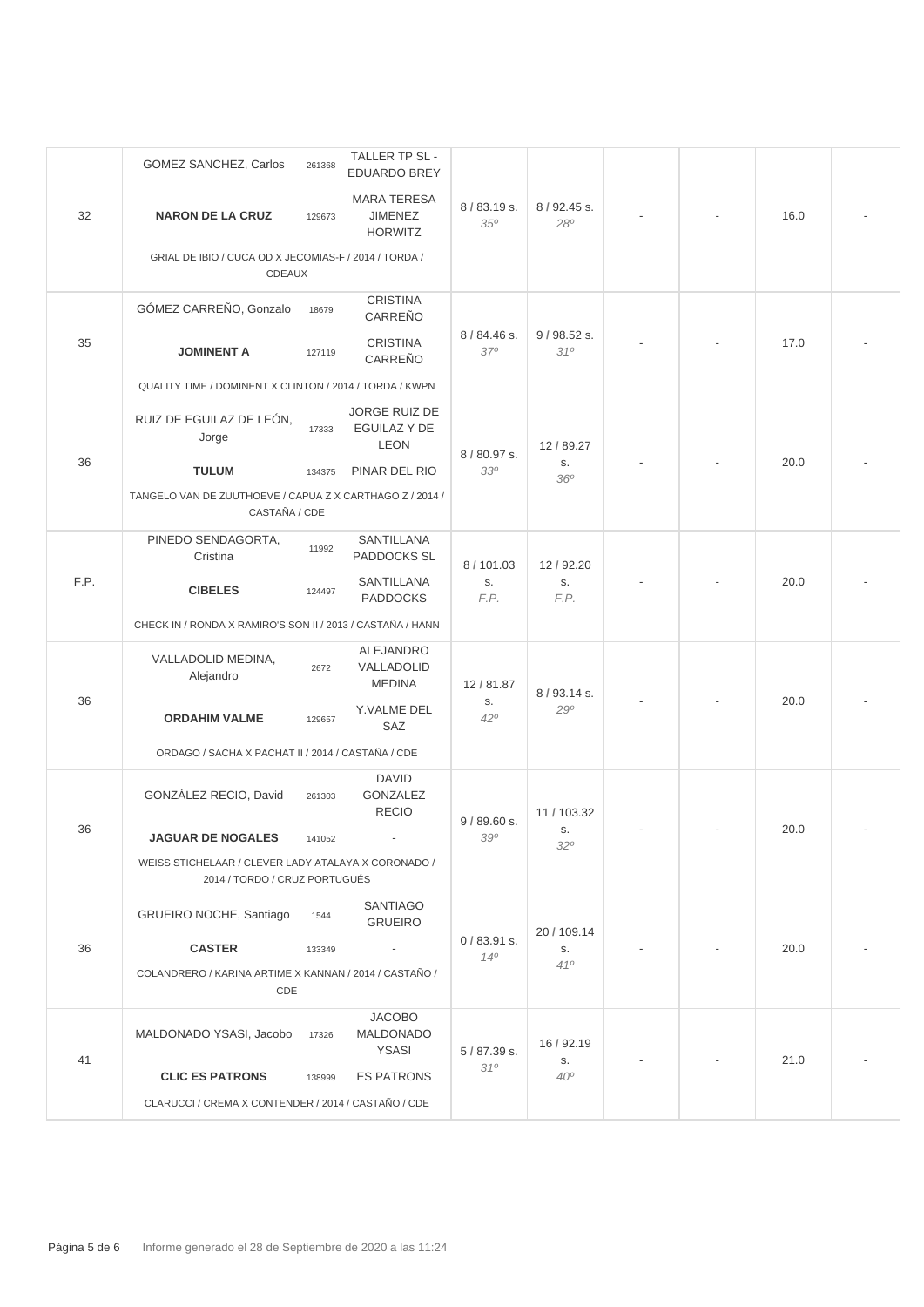|      | GOMEZ SANCHEZ, Carlos                                                                | 261368 | TALLER TP SL -<br><b>EDUARDO BREY</b>                  |                                |                        |  |  |      |  |
|------|--------------------------------------------------------------------------------------|--------|--------------------------------------------------------|--------------------------------|------------------------|--|--|------|--|
| 32   | <b>NARON DE LA CRUZ</b>                                                              | 129673 | <b>MARA TERESA</b><br><b>JIMENEZ</b><br><b>HORWITZ</b> | 8/83.19 s.<br>35 <sup>o</sup>  | 8 / 92.45 s.<br>280    |  |  | 16.0 |  |
|      | GRIAL DE IBIO / CUCA OD X JECOMIAS-F / 2014 / TORDA /<br><b>CDEAUX</b>               |        |                                                        |                                |                        |  |  |      |  |
|      | GÓMEZ CARREÑO, Gonzalo                                                               | 18679  | <b>CRISTINA</b><br>CARREÑO                             | 8 / 84.46 s.                   |                        |  |  | 17.0 |  |
| 35   | <b>JOMINENT A</b>                                                                    | 127119 | <b>CRISTINA</b><br>CARREÑO                             | $37^\circ$                     | 9/98.52 s.<br>310      |  |  |      |  |
|      | QUALITY TIME / DOMINENT X CLINTON / 2014 / TORDA / KWPN                              |        |                                                        |                                |                        |  |  |      |  |
|      | RUIZ DE EGUILAZ DE LEÓN,<br>Jorge                                                    | 17333  | JORGE RUIZ DE<br>EGUILAZ Y DE<br><b>LEON</b>           | 8/80.97 s.                     | 12 / 89.27             |  |  |      |  |
| 36   | <b>TULUM</b>                                                                         | 134375 | PINAR DEL RIO                                          | 330                            | S.<br>36°              |  |  | 20.0 |  |
|      | TANGELO VAN DE ZUUTHOEVE / CAPUA Z X CARTHAGO Z / 2014 /<br>CASTAÑA / CDE            |        |                                                        |                                |                        |  |  |      |  |
|      | PINEDO SENDAGORTA,<br>Cristina                                                       | 11992  | SANTILLANA<br><b>PADDOCKS SL</b>                       | 8/101.03<br>S.<br>F.P.         | 12/92.20<br>S.<br>F.P. |  |  | 20.0 |  |
| F.P. | <b>CIBELES</b>                                                                       | 124497 | SANTILLANA<br><b>PADDOCKS</b>                          |                                |                        |  |  |      |  |
|      | CHECK IN / RONDA X RAMIRO'S SON II / 2013 / CASTAÑA / HANN                           |        |                                                        |                                |                        |  |  |      |  |
|      | VALLADOLID MEDINA,<br>Alejandro                                                      | 2672   | ALEJANDRO<br>VALLADOLID<br><b>MEDINA</b>               | 12/81.87<br>S.<br>$42^{\circ}$ | 8/93.14 s.<br>290      |  |  | 20.0 |  |
| 36   | <b>ORDAHIM VALME</b>                                                                 | 129657 | Y.VALME DEL<br>SAZ                                     |                                |                        |  |  |      |  |
|      | ORDAGO / SACHA X PACHAT II / 2014 / CASTAÑA / CDE                                    |        |                                                        |                                |                        |  |  |      |  |
|      | GONZÁLEZ RECIO, David                                                                | 261303 | <b>DAVID</b><br><b>GONZALEZ</b><br><b>RECIO</b>        | 9/89.60 s.                     | 11 / 103.32            |  |  |      |  |
| 36   | <b>JAGUAR DE NOGALES</b>                                                             | 141052 |                                                        | 390                            | S.<br>32°              |  |  | 20.0 |  |
|      | WEISS STICHELAAR / CLEVER LADY ATALAYA X CORONADO /<br>2014 / TORDO / CRUZ PORTUGUÉS |        |                                                        |                                |                        |  |  |      |  |
|      | GRUEIRO NOCHE, Santiago                                                              | 1544   | <b>SANTIAGO</b><br><b>GRUEIRO</b>                      |                                | 20 / 109.14            |  |  |      |  |
| 36   | <b>CASTER</b>                                                                        | 133349 | $\overline{\phantom{a}}$                               | $0/83.91$ s.<br>$14^{o}$       | S.                     |  |  | 20.0 |  |
|      | COLANDRERO / KARINA ARTIME X KANNAN / 2014 / CASTAÑO /<br>CDE                        |        |                                                        | 410                            |                        |  |  |      |  |
| 41   | MALDONADO YSASI, Jacobo                                                              | 17326  | <b>JACOBO</b><br>MALDONADO<br>YSASI                    | 5/87.39 s.                     | 16 / 92.19<br>S.       |  |  | 21.0 |  |
|      | <b>CLIC ES PATRONS</b>                                                               | 138999 | <b>ES PATRONS</b>                                      | 310                            | $40^\circ$             |  |  |      |  |
|      | CLARUCCI / CREMA X CONTENDER / 2014 / CASTAÑO / CDE                                  |        |                                                        |                                |                        |  |  |      |  |